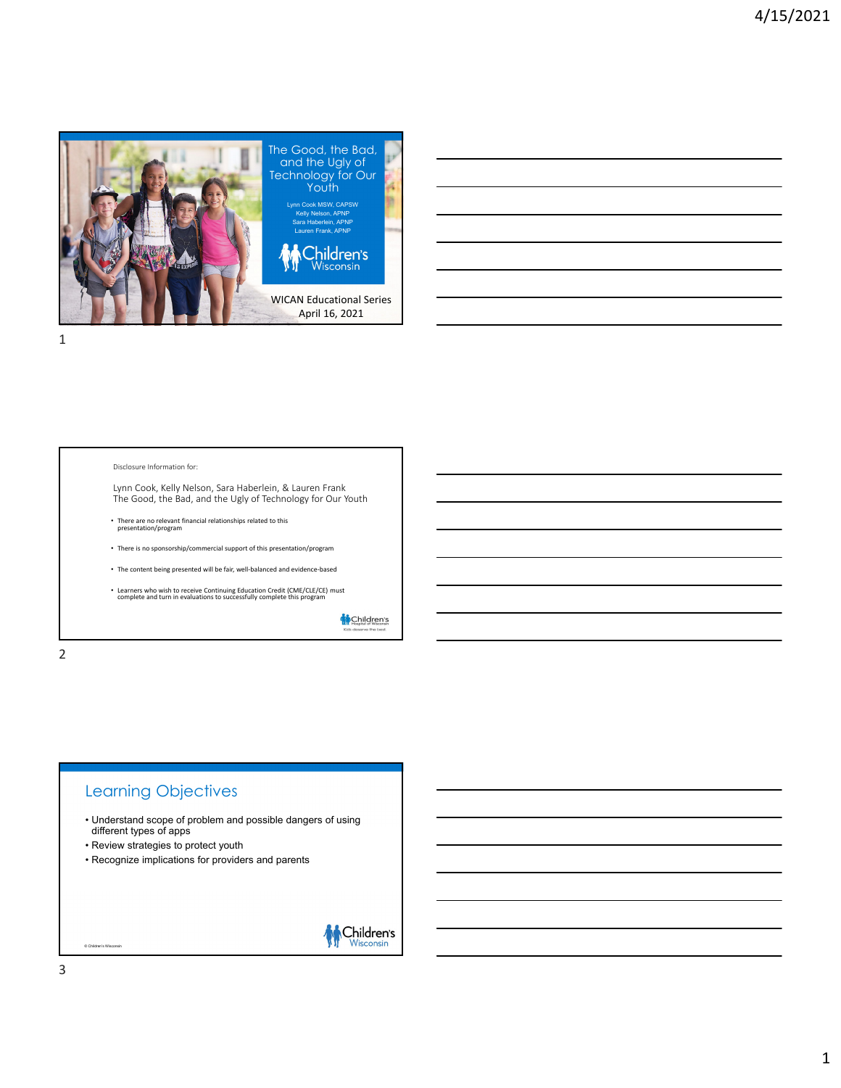



#### Disclosure Information for:

Lynn Cook, Kelly Nelson, Sara Haberlein, & Lauren Frank The Good, the Bad, and the Ugly of Technology for Our Youth

- There are no relevant financial relationships related to this presentation/program
- There is no sponsorship/commercial support of this presentation/program
- The content being presented will be fair, well-balanced and evidence-based
- Learners who wish to receive Continuing Education Credit (CME/CLE/CE) must complete and turn in evaluations to successfully complete this program

**M** Children's

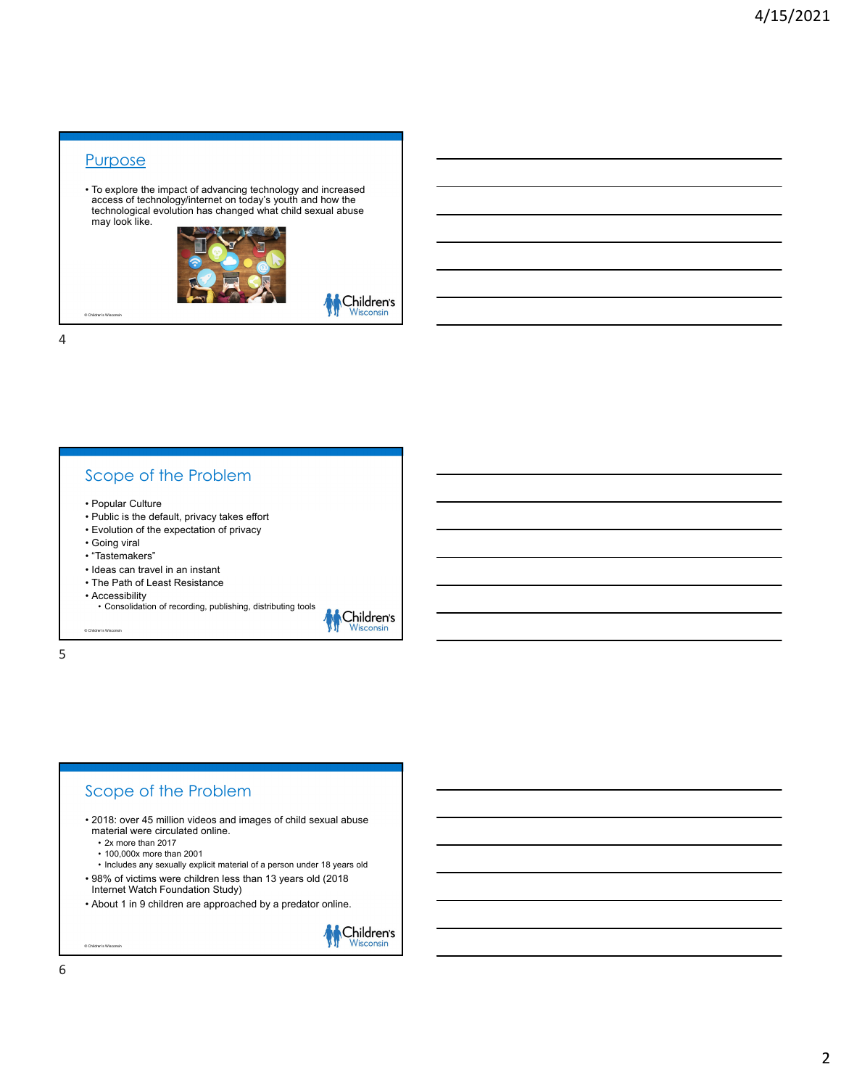#### **Purpose**

© Children's Wisconsin

• To explore the impact of advancing technology and increased access of technology/internet on today's youth and how the technological evolution has changed what child sexual abuse may look like.



**M** Children's

4

#### Scope of the Problem

- Popular Culture
- Public is the default, privacy takes effort
- Evolution of the expectation of privacy
- Going viral
- "Tastemakers"
- Ideas can travel in an instant
- The Path of Least Resistance
- 

© Children's Wisconsin

• Accessibility • Consolidation of recording, publishing, distributing tools



5



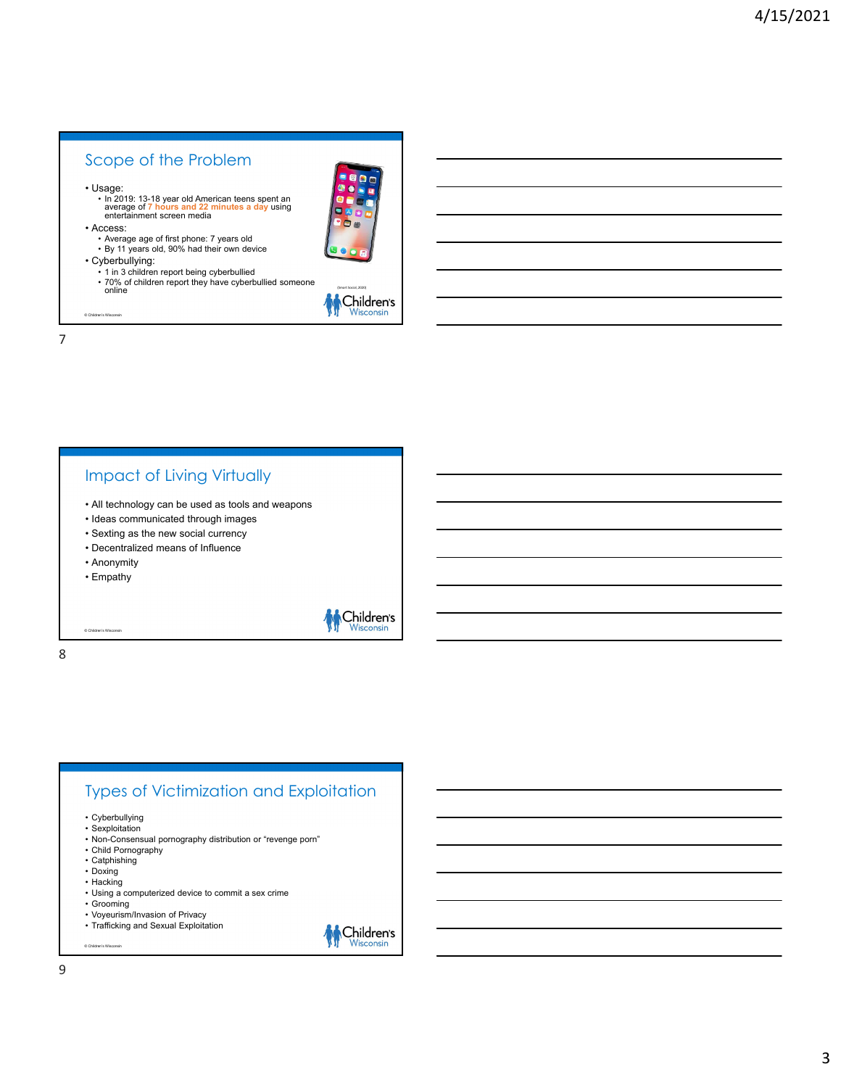## Scope of the Problem

• Usage:

• In 2019: 13-18 year old American teens spent an average of **7 hours and 22 minutes a day** using entertainment screen media



© Children's Wisconsin

- Average age of first phone: 7 years old By 11 years old, 90% had their own device
- Cyberbullying:
	- 1 in 3 children report being cyberbullied • 70% of children report they have cyberbullied someone<br>
	online

7

#### Impact of Living Virtually

- All technology can be used as tools and weapons
- Ideas communicated through images
- Sexting as the new social currency
- Decentralized means of Influence
- Anonymity
- Empathy

© Children's Wisconsin

8

Children's

# Types of Victimization and Exploitation

- Cyberbullying Sexploitation
- Non-Consensual pornography distribution or "revenge porn"
- Child Pornography
- Catphishing
- Doxing • Hacking
- 

- Using a computerized device to commit a sex crime • Grooming
- Voyeurism/Invasion of Privacy
- Trafficking and Sexual Exploitation

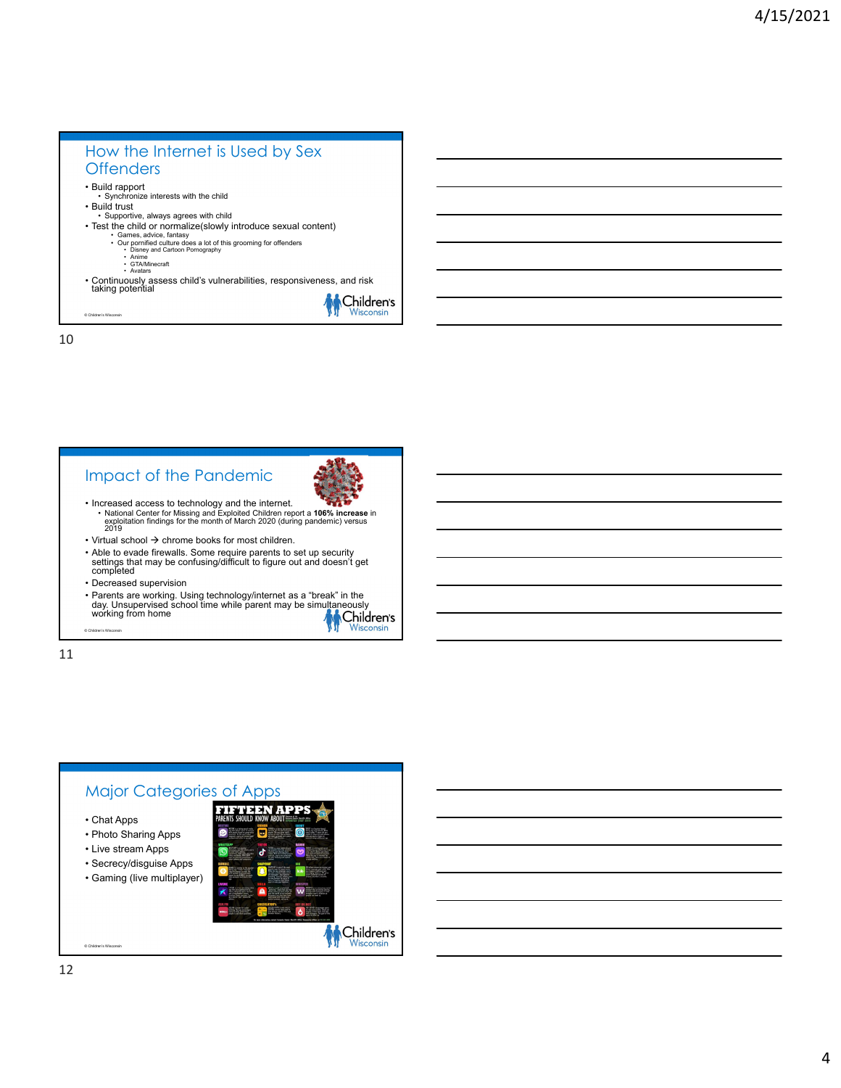## How the Internet is Used by Sex **Offenders**

- Build rapport Synchronize interests with the child
- Build trust

© Children's Wisconsin

- Supportive, always agrees with child
- Test the child or normalize(slowly introduce sexual content)
	- Games, advice, fantasy Our pornified culture does a lot of this grooming for offenders Disney and Cartoon Pornography
		-
		- Anime GTA/Minecraft Avatars
- Continuously assess child's vulnerabilities, responsiveness, and risk taking potential

10

### Impact of the Pandemic



- Increased access to technology and the internet. National Center for Missing and Exploited Children report a **106% increase** in exploitation findings for the month of March 2020 (during pandemic) versus 2019
- $\cdot$  Virtual school  $\rightarrow$  chrome books for most children.
- Able to evade firewalls. Some require parents to set up security settings that may be confusing/difficult to figure out and doesn't get completed
- Decreased supervision
- Parents are working. Using technology/internet as a "break" in the<br>day. Unsupervised school time while parent may be simultaneously<br>working from home

11

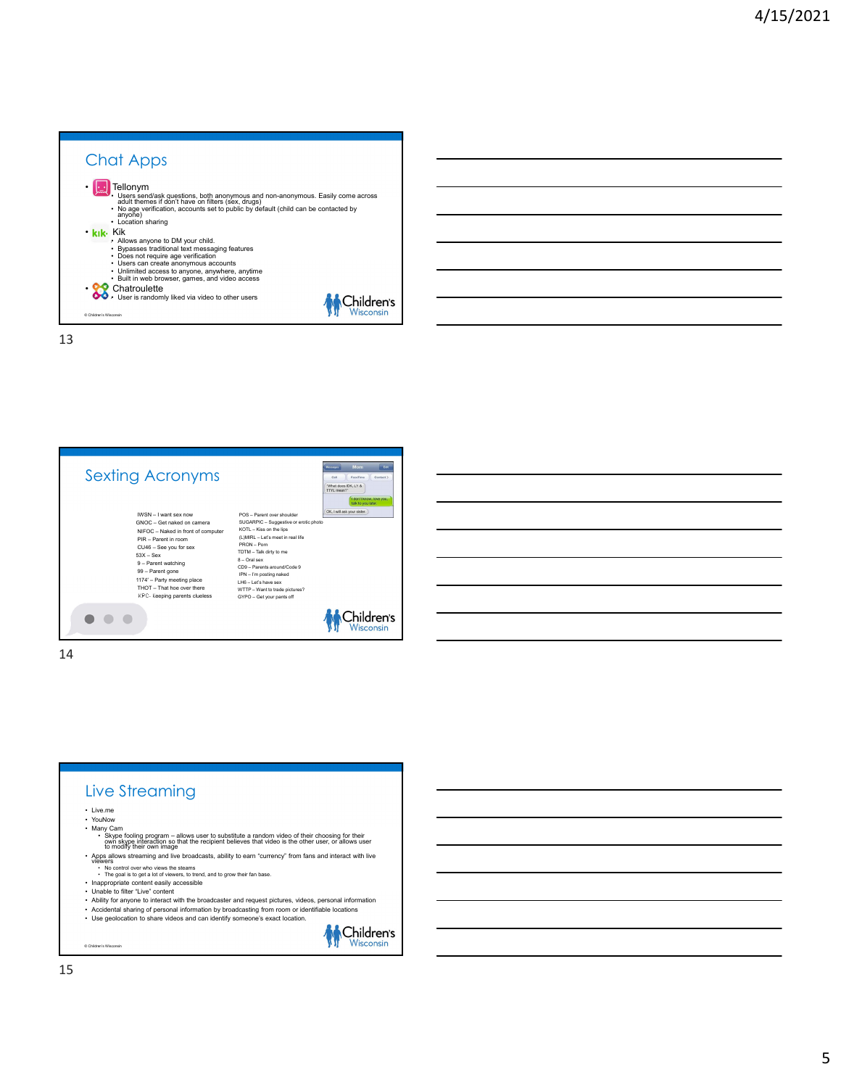



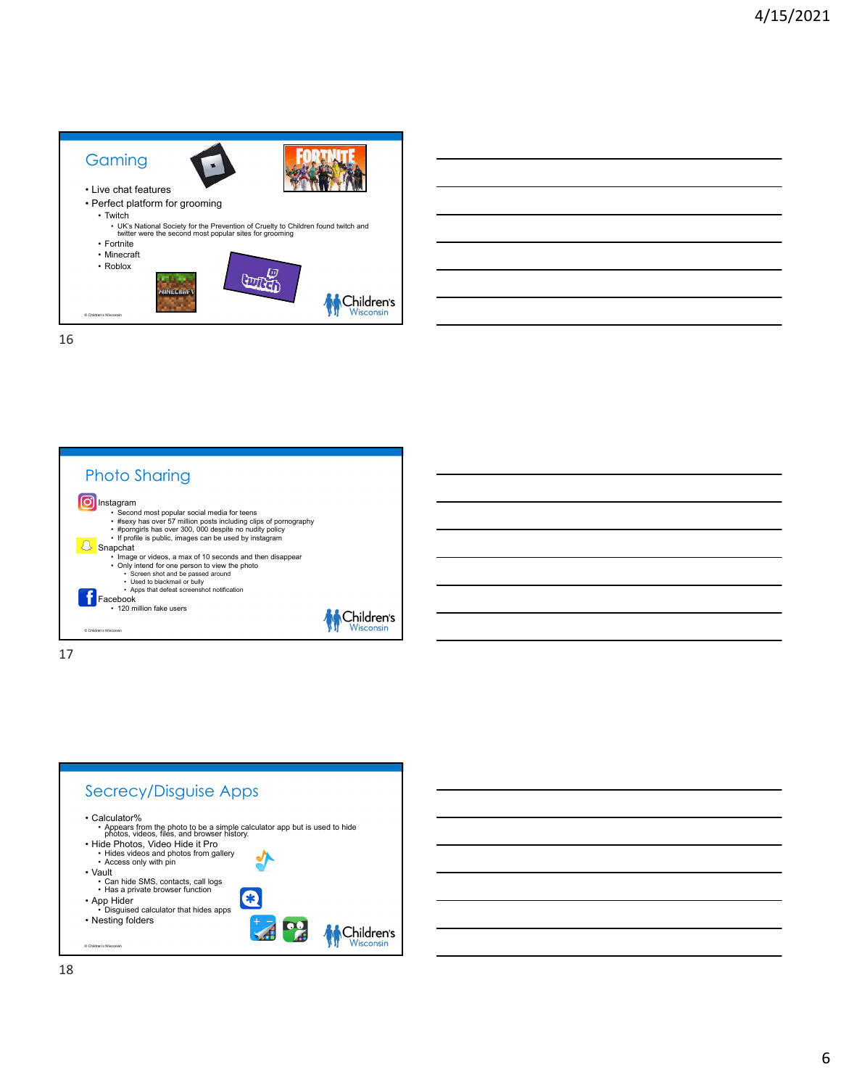





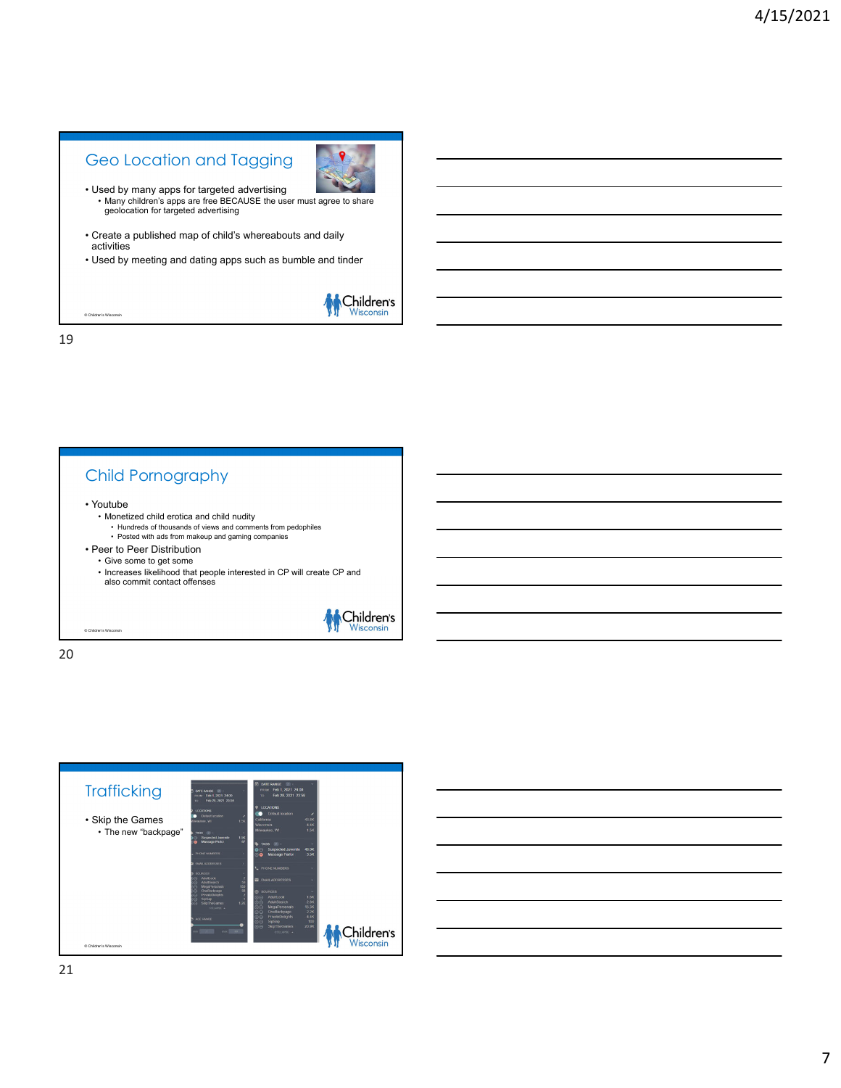## Geo Location and Tagging



- Used by many apps for targeted advertising • Many children's apps are free BECAUSE the user must agree to share geolocation for targeted advertising
- Create a published map of child's whereabouts and daily activities
- Used by meeting and dating apps such as bumble and tinder



19

© Children's Wisconsin

### Child Pornography

• Youtube

© Children's Wisconsin

- Monetized child erotica and child nudity
	- Hundreds of thousands of views and comments from pedophiles • Posted with ads from makeup and gaming companies
- Peer to Peer Distribution
- Give some to get some
	- Increases likelihood that people interested in CP will create CP and also commit contact offenses



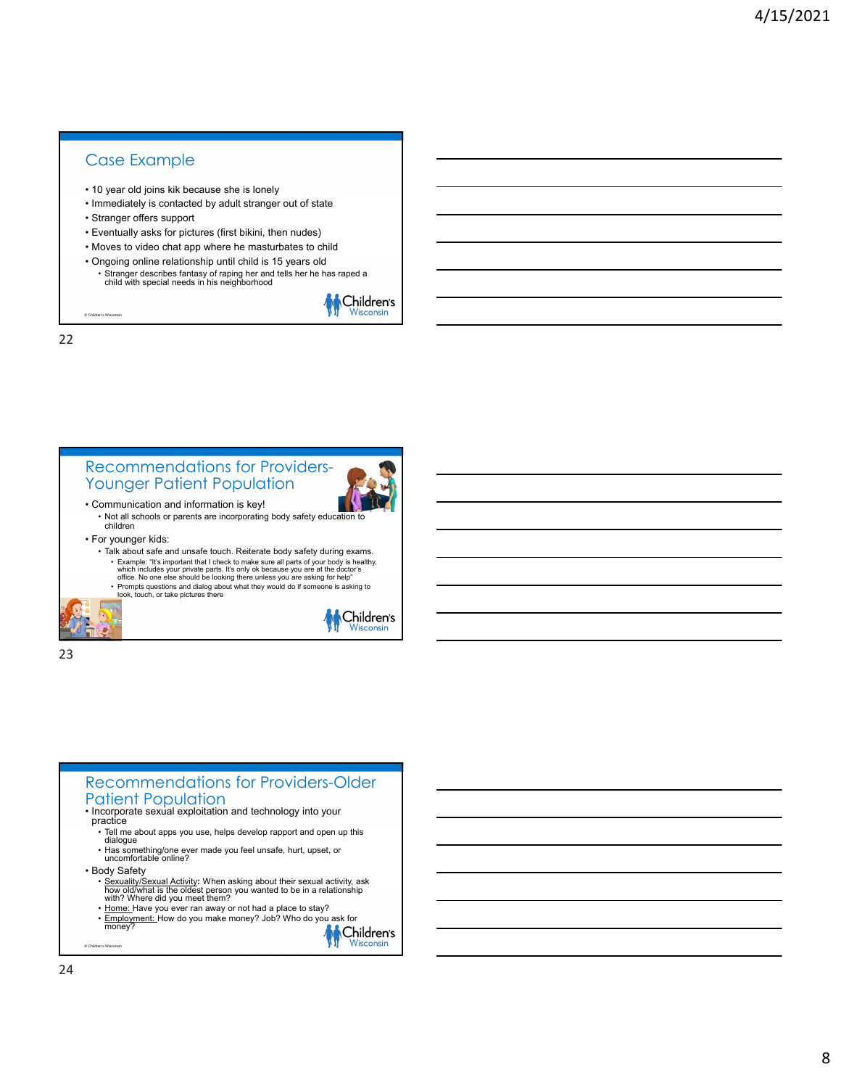#### Case Example

- 10 year old joins kik because she is lonely
- Immediately is contacted by adult stranger out of state
- Stranger offers support
- Eventually asks for pictures (first bikini, then nudes)
- Moves to video chat app where he masturbates to child
- Ongoing online relationship until child is 15 years old
	- Stranger describes fantasy of raping her and tells her he has raped a child with special needs in his neighborhood



Wisco

22

© Children's Wisconsin



23

#### Recommendations for Providers-Older Patient Population • Incorporate sexual exploitation and technology into your practice • Tell me about apps you use, helps develop rapport and open up this dialogue • Has something/one ever made you feel unsafe, hurt, upset, or uncomfortable online? • Body Safety • Sexuality/Sexual Activity**:** When asking about their sexual activity, ask how old/what is the oldest person you wanted to be in a relationship with? Where did you meet them? • <u>Home: </u>Have you ever ran away or not had a place to stay?<br>• <u>Employment: </u>How do you make money? Job? Who do you ask for money<sup>2</sup> Children's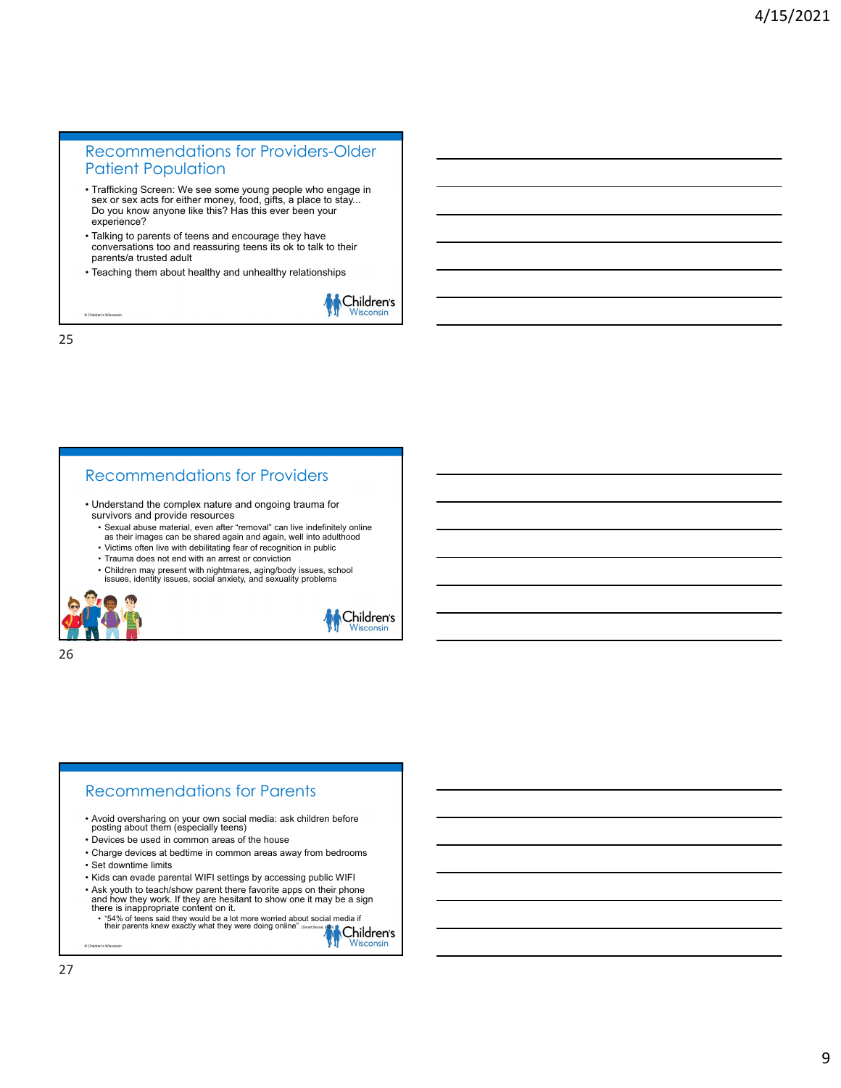#### Recommendations for Providers-Older Patient Population

- Trafficking Screen: We see some young people who engage in sex or sex acts for either money, food, gifts, a place to stay... Do you know anyone like this? Has this ever been your experience?
- Talking to parents of teens and encourage they have conversations too and reassuring teens its ok to talk to their parents/a trusted adult
- Teaching them about healthy and unhealthy relationships



25

© Children's Wisconsin

#### Recommendations for Providers

- Understand the complex nature and ongoing trauma for survivors and provide resources
	- Sexual abuse material, even after "removal" can live indefinitely online as their images can be shared again and again, well into adulthood
	- Victims often live with debilitating fear of recognition in public
	- Trauma does not end with an arrest or conviction
	- Children may present with nightmares, aging/body issues, school issues, identity issues, social anxiety, and sexuality problems



Children's Wisconsir

26

#### Recommendations for Parents

- Avoid oversharing on your own social media: ask children before posting about them (especially teens)
- Devices be used in common areas of the house
- Charge devices at bedtime in common areas away from bedrooms • Set downtime limits
- Kids can evade parental WIFI settings by accessing public WIFI
- Ask youth to teach/show parent there favorite apps on their phone and how they work. If they are hesitant to show one it may be a sign there is inappropriate content on it.<br>• "54% of teens said they would be a lot more worried about social media if<br>۱۰ - hteir parents knew exactly what they were doing online" (Smart Social, 2020)

۷'n Wisco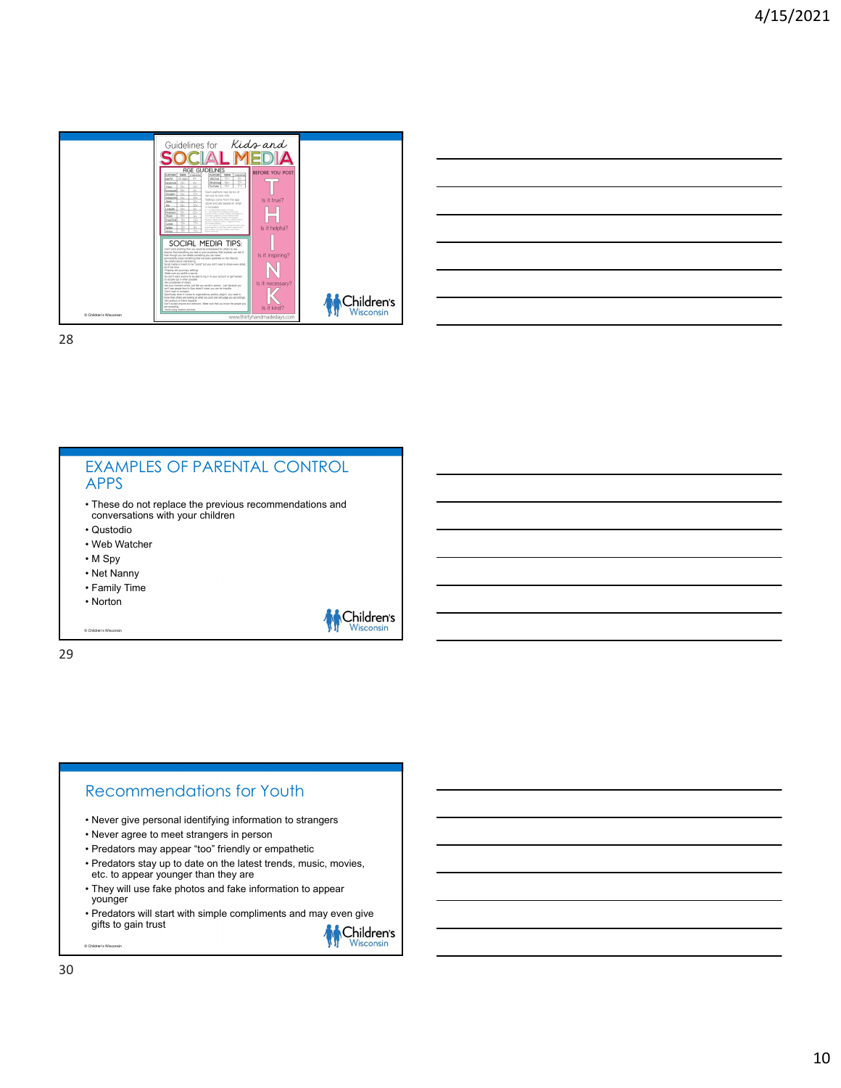

| <u> 1980 - Johann Barbara, martxa alemaniar a</u>                      |  |
|------------------------------------------------------------------------|--|
| the contract of the contract of the contract of the contract of        |  |
| <u> 1989 - Andrea Barbara, Amerikaansk politiker (d. 1989)</u>         |  |
|                                                                        |  |
| <u> 1989 - Jan Samuel Barbara, margaret eta biztanleria (h. 1989).</u> |  |
|                                                                        |  |

#### EXAMPLES OF PARENTAL CONTROL APPS • These do not replace the previous recommendations and conversations with your children • Qustodio • Web Watcher • M Spy • Net Nanny • Family Time • Norton Children's © Children's Wisconsin 29

#### Recommendations for Youth

- Never give personal identifying information to strangers
- Never agree to meet strangers in person
- Predators may appear "too" friendly or empathetic
- Predators stay up to date on the latest trends, music, movies, etc. to appear younger than they are
- They will use fake photos and fake information to appear younger
- Predators will start with simple compliments and may even give gifts to gain trust

**M** Children's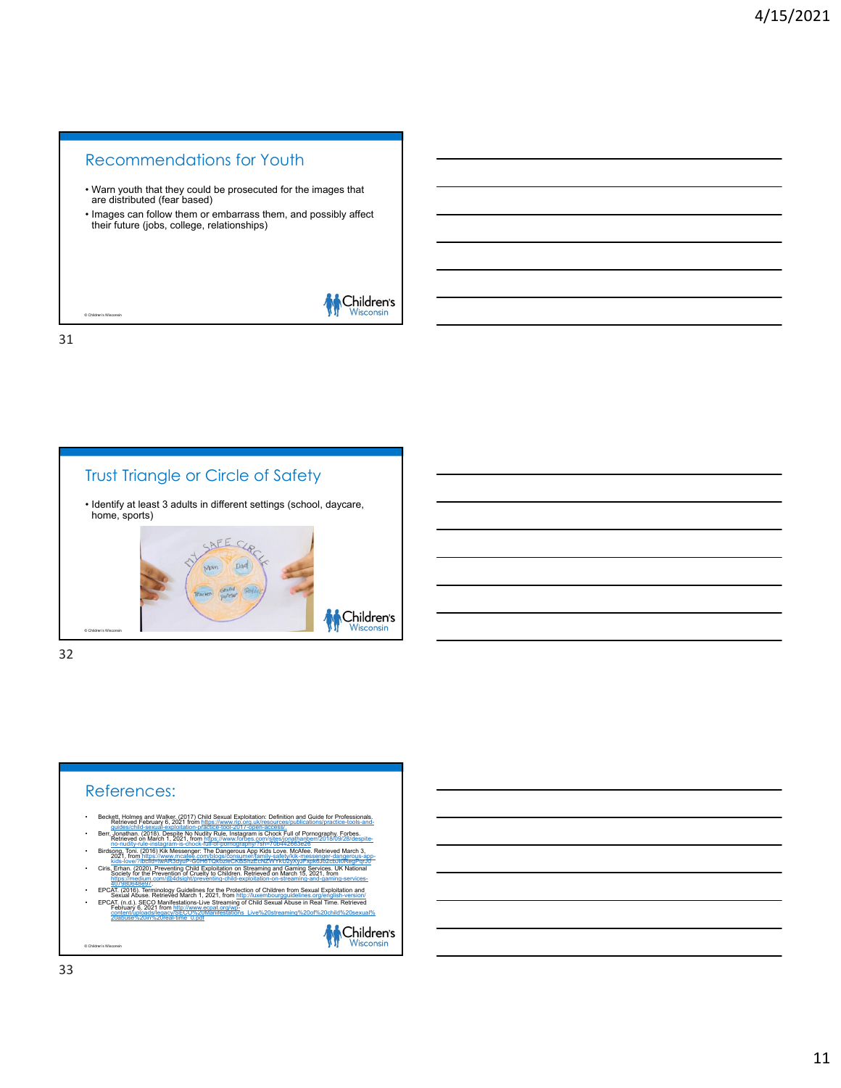# Recommendations for Youth • Warn youth that they could be prosecuted for the images that are distributed (fear based) • Images can follow them or embarrass them, and possibly affect their future (jobs, college, relationships)



31

© Children's Wisconsin

### Trust Triangle or Circle of Safety

• Identify at least 3 adults in different settings (school, daycare, home, sports)



32

### References: kett, Holmes and Walker. (2017) Child Sexual Exploitation: Definition and Guide for Profe<br>Retrieved February 6, 2021 from https://www.rip.org.uk/resources/publications/practice-to-Berrichten (2018), Despite No Nudity Rule, Instagram is Chock Full of Pornography, Forbes.<br>Retrieved on March 1, 2021, from https://www.forbes.com/sites/jonalthan.ben/2014/09/28/despite<br>The no-nudity-rule-instagram is-choc incrimany-ruie-instagram-is-chock-full-of-porno<br>song, Toni. (2016) Kik Messenger: The Danger<br>2021, from https://www.mcafee.com/blogs/com • Ciris, Erhan. (2020). Preventing Child Exploitation on Streaming and Gaming Services. UK National Society for the Prevention of Cruelty to Children. Retrieved on March 15, 2021, from https://medium.com/@4dsight/preventing-child-exploitation-on-streaming-and-gaming-services-<br>- EPCAT, (2016). Terminology Guidelines for the Protection of Children from Sexual Exploitation and<br>- EPCAT, (2016). Terminology G • EPCAT, (n.d.), SECO Manifestations-Live Streaming of Child Sexual Abuse in Real Time. Retrieved<br>Content/uploads/legacy/SECO%20Manifestations\_Live%20streaming%20of%20child%20sexual%<br><u>20abuse%20in%20real-time\_0.pdf</u> M Children's © Children's Wisconsin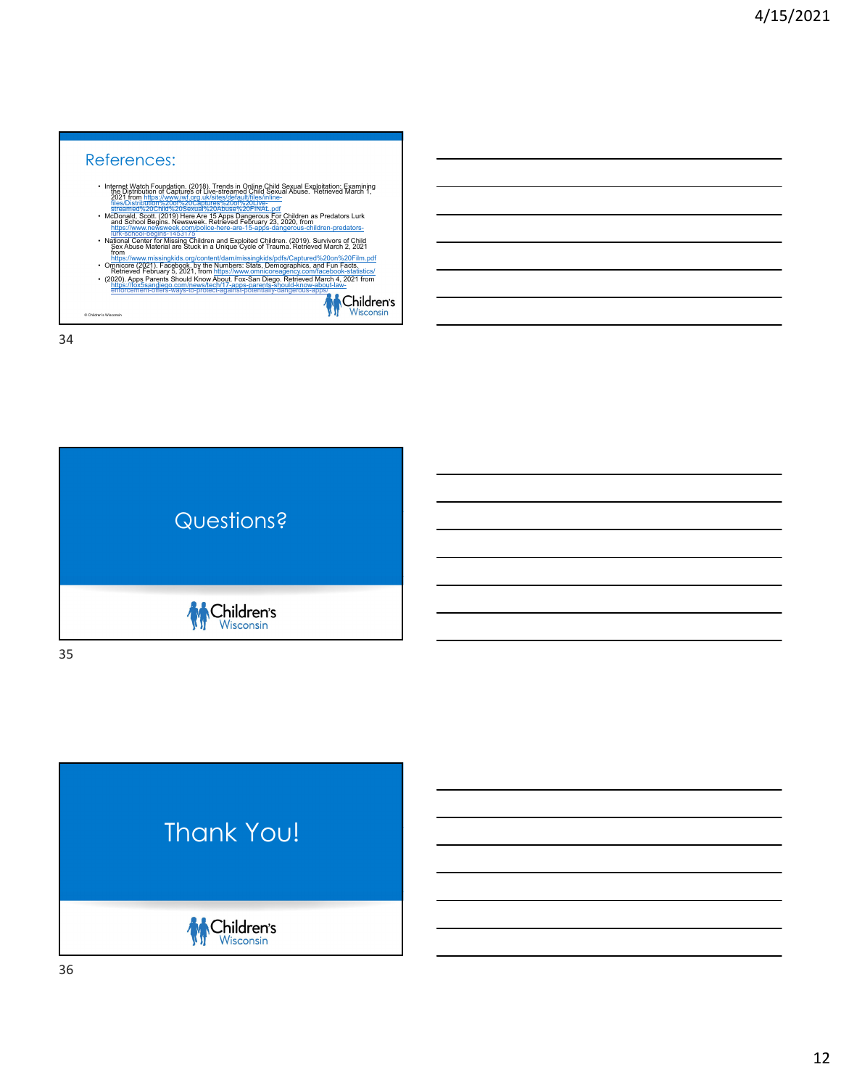